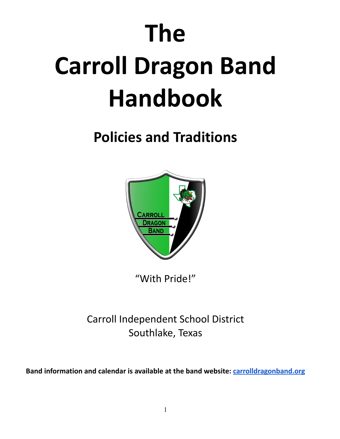# **The Carroll Dragon Band Handbook**

# **Policies and Traditions**



"With Pride!"

Carroll Independent School District Southlake, Texas

**Band information and calendar is available at the band website: [carrolldragonband.org](http://carrolldragonband.org)**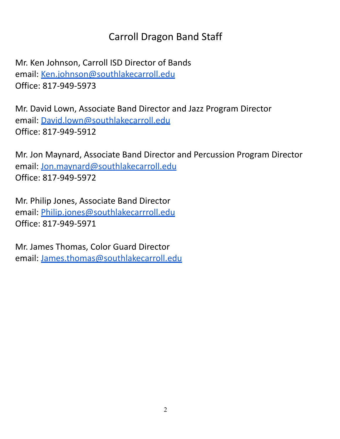# Carroll Dragon Band Staff

Mr. Ken Johnson, Carroll ISD Director of Bands email: [Ken.johnson@southlakecarroll.edu](mailto:Ken.johnson@southlakecarroll.edu) Office: 817-949-5973

Mr. David Lown, Associate Band Director and Jazz Program Director email: [David.lown@southlakecarroll.edu](mailto:David.lown@southlakecarroll.edu) Office: 817-949-5912

Mr. Jon Maynard, Associate Band Director and Percussion Program Director email: [Jon.maynard@southlakecarroll.edu](mailto:Jon.maynard@southlakecarroll.edu) Office: 817-949-5972

Mr. Philip Jones, Associate Band Director email: [Philip.jones@southlakecarrroll.edu](mailto:Philip.jones@southlakecarrroll.edu) Office: 817-949-5971

Mr. James Thomas, Color Guard Director email: [James.thomas@southlakecarroll.edu](mailto:James.thomas@southlakecarroll.edu)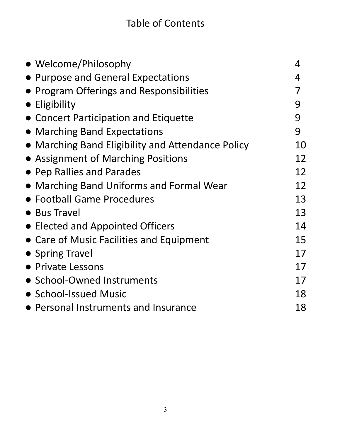| • Welcome/Philosophy                              | 4  |
|---------------------------------------------------|----|
| • Purpose and General Expectations                | 4  |
| • Program Offerings and Responsibilities          |    |
| $\bullet$ Eligibility                             | 9  |
| • Concert Participation and Etiquette             | 9  |
| • Marching Band Expectations                      | 9  |
| • Marching Band Eligibility and Attendance Policy | 10 |
| • Assignment of Marching Positions                | 12 |
| • Pep Rallies and Parades                         | 12 |
| • Marching Band Uniforms and Formal Wear          | 12 |
| • Football Game Procedures                        | 13 |
| • Bus Travel                                      | 13 |
| • Elected and Appointed Officers                  | 14 |
| • Care of Music Facilities and Equipment          | 15 |
| • Spring Travel                                   | 17 |
| • Private Lessons                                 | 17 |
| • School-Owned Instruments                        | 17 |
| • School-Issued Music                             | 18 |
| • Personal Instruments and Insurance              | 18 |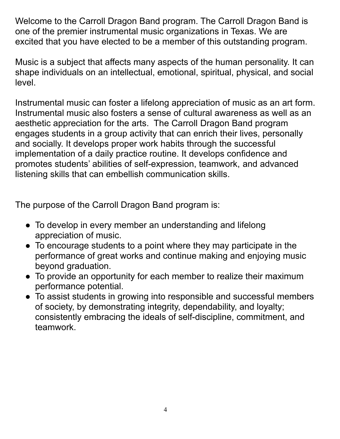Welcome to the Carroll Dragon Band program. The Carroll Dragon Band is one of the premier instrumental music organizations in Texas. We are excited that you have elected to be a member of this outstanding program.

Music is a subject that affects many aspects of the human personality. It can shape individuals on an intellectual, emotional, spiritual, physical, and social level.

Instrumental music can foster a lifelong appreciation of music as an art form. Instrumental music also fosters a sense of cultural awareness as well as an aesthetic appreciation for the arts. The Carroll Dragon Band program engages students in a group activity that can enrich their lives, personally and socially. It develops proper work habits through the successful implementation of a daily practice routine. It develops confidence and promotes students' abilities of self-expression, teamwork, and advanced listening skills that can embellish communication skills.

The purpose of the Carroll Dragon Band program is:

- To develop in every member an understanding and lifelong appreciation of music.
- To encourage students to a point where they may participate in the performance of great works and continue making and enjoying music beyond graduation.
- To provide an opportunity for each member to realize their maximum performance potential.
- To assist students in growing into responsible and successful members of society, by demonstrating integrity, dependability, and loyalty; consistently embracing the ideals of self-discipline, commitment, and teamwork.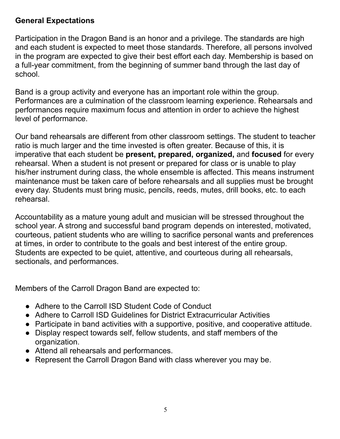# **General Expectations**

Participation in the Dragon Band is an honor and a privilege. The standards are high and each student is expected to meet those standards. Therefore, all persons involved in the program are expected to give their best effort each day. Membership is based on a full-year commitment, from the beginning of summer band through the last day of school.

Band is a group activity and everyone has an important role within the group. Performances are a culmination of the classroom learning experience. Rehearsals and performances require maximum focus and attention in order to achieve the highest level of performance.

Our band rehearsals are different from other classroom settings. The student to teacher ratio is much larger and the time invested is often greater. Because of this, it is imperative that each student be **present, prepared, organized,** and **focused** for every rehearsal. When a student is not present or prepared for class or is unable to play his/her instrument during class, the whole ensemble is affected. This means instrument maintenance must be taken care of before rehearsals and all supplies must be brought every day. Students must bring music, pencils, reeds, mutes, drill books, etc. to each rehearsal.

Accountability as a mature young adult and musician will be stressed throughout the school year. A strong and successful band program depends on interested, motivated, courteous, patient students who are willing to sacrifice personal wants and preferences at times, in order to contribute to the goals and best interest of the entire group. Students are expected to be quiet, attentive, and courteous during all rehearsals, sectionals, and performances.

Members of the Carroll Dragon Band are expected to:

- Adhere to the Carroll ISD Student Code of Conduct
- Adhere to Carroll ISD Guidelines for District Extracurricular Activities
- Participate in band activities with a supportive, positive, and cooperative attitude.
- Display respect towards self, fellow students, and staff members of the organization.
- Attend all rehearsals and performances.
- Represent the Carroll Dragon Band with class wherever you may be.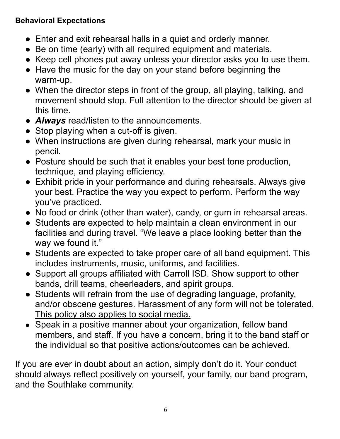# **Behavioral Expectations**

- Enter and exit rehearsal halls in a quiet and orderly manner.
- Be on time (early) with all required equipment and materials.
- Keep cell phones put away unless your director asks you to use them.
- Have the music for the day on your stand before beginning the warm-up.
- When the director steps in front of the group, all playing, talking, and movement should stop. Full attention to the director should be given at this time.
- *Always* read/listen to the announcements.
- Stop playing when a cut-off is given.
- When instructions are given during rehearsal, mark your music in pencil.
- Posture should be such that it enables your best tone production, technique, and playing efficiency.
- Exhibit pride in your performance and during rehearsals. Always give your best. Practice the way you expect to perform. Perform the way you've practiced.
- No food or drink (other than water), candy, or gum in rehearsal areas.
- Students are expected to help maintain a clean environment in our facilities and during travel. "We leave a place looking better than the way we found it."
- Students are expected to take proper care of all band equipment. This includes instruments, music, uniforms, and facilities.
- Support all groups affiliated with Carroll ISD. Show support to other bands, drill teams, cheerleaders, and spirit groups.
- Students will refrain from the use of degrading language, profanity, and/or obscene gestures. Harassment of any form will not be tolerated. This policy also applies to social media.
- Speak in a positive manner about your organization, fellow band members, and staff. If you have a concern, bring it to the band staff or the individual so that positive actions/outcomes can be achieved.

If you are ever in doubt about an action, simply don't do it. Your conduct should always reflect positively on yourself, your family, our band program, and the Southlake community.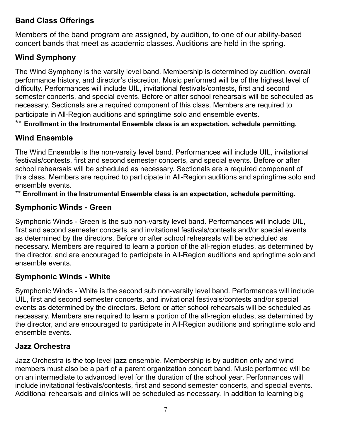# **Band Class Offerings**

Members of the band program are assigned, by audition, to one of our ability-based concert bands that meet as academic classes. Auditions are held in the spring.

# **Wind Symphony**

The Wind Symphony is the varsity level band. Membership is determined by audition, overall performance history, and director's discretion. Music performed will be of the highest level of difficulty. Performances will include UIL, invitational festivals/contests, first and second semester concerts, and special events. Before or after school rehearsals will be scheduled as necessary. Sectionals are a required component of this class. Members are required to participate in All-Region auditions and springtime solo and ensemble events.

\*\* **Enrollment in the Instrumental Ensemble class is an expectation, schedule permitting.**

# **Wind Ensemble**

The Wind Ensemble is the non-varsity level band. Performances will include UIL, invitational festivals/contests, first and second semester concerts, and special events. Before or after school rehearsals will be scheduled as necessary. Sectionals are a required component of this class. Members are required to participate in All-Region auditions and springtime solo and ensemble events.

\*\* **Enrollment in the Instrumental Ensemble class is an expectation, schedule permitting.**

# **Symphonic Winds - Green**

Symphonic Winds - Green is the sub non-varsity level band. Performances will include UIL, first and second semester concerts, and invitational festivals/contests and/or special events as determined by the directors. Before or after school rehearsals will be scheduled as necessary. Members are required to learn a portion of the all-region etudes, as determined by the director, and are encouraged to participate in All-Region auditions and springtime solo and ensemble events.

# **Symphonic Winds - White**

Symphonic Winds - White is the second sub non-varsity level band. Performances will include UIL, first and second semester concerts, and invitational festivals/contests and/or special events as determined by the directors. Before or after school rehearsals will be scheduled as necessary. Members are required to learn a portion of the all-region etudes, as determined by the director, and are encouraged to participate in All-Region auditions and springtime solo and ensemble events.

#### **Jazz Orchestra**

Jazz Orchestra is the top level jazz ensemble. Membership is by audition only and wind members must also be a part of a parent organization concert band. Music performed will be on an intermediate to advanced level for the duration of the school year. Performances will include invitational festivals/contests, first and second semester concerts, and special events. Additional rehearsals and clinics will be scheduled as necessary. In addition to learning big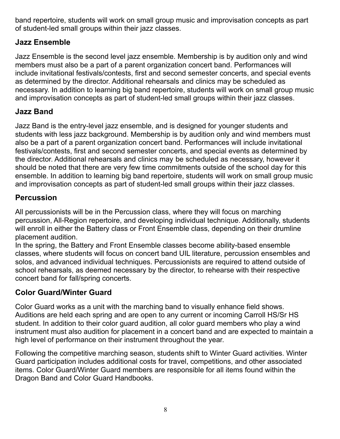band repertoire, students will work on small group music and improvisation concepts as part of student-led small groups within their jazz classes.

# **Jazz Ensemble**

Jazz Ensemble is the second level jazz ensemble. Membership is by audition only and wind members must also be a part of a parent organization concert band. Performances will include invitational festivals/contests, first and second semester concerts, and special events as determined by the director. Additional rehearsals and clinics may be scheduled as necessary. In addition to learning big band repertoire, students will work on small group music and improvisation concepts as part of student-led small groups within their jazz classes.

# **Jazz Band**

Jazz Band is the entry-level jazz ensemble, and is designed for younger students and students with less jazz background. Membership is by audition only and wind members must also be a part of a parent organization concert band. Performances will include invitational festivals/contests, first and second semester concerts, and special events as determined by the director. Additional rehearsals and clinics may be scheduled as necessary, however it should be noted that there are very few time commitments outside of the school day for this ensemble. In addition to learning big band repertoire, students will work on small group music and improvisation concepts as part of student-led small groups within their jazz classes.

# **Percussion**

All percussionists will be in the Percussion class, where they will focus on marching percussion, All-Region repertoire, and developing individual technique. Additionally, students will enroll in either the Battery class or Front Ensemble class, depending on their drumline placement audition.

In the spring, the Battery and Front Ensemble classes become ability-based ensemble classes, where students will focus on concert band UIL literature, percussion ensembles and solos, and advanced individual techniques. Percussionists are required to attend outside of school rehearsals, as deemed necessary by the director, to rehearse with their respective concert band for fall/spring concerts.

# **Color Guard/Winter Guard**

Color Guard works as a unit with the marching band to visually enhance field shows. Auditions are held each spring and are open to any current or incoming Carroll HS/Sr HS student. In addition to their color guard audition, all color guard members who play a wind instrument must also audition for placement in a concert band and are expected to maintain a high level of performance on their instrument throughout the year.

Following the competitive marching season, students shift to Winter Guard activities. Winter Guard participation includes additional costs for travel, competitions, and other associated items. Color Guard/Winter Guard members are responsible for all items found within the Dragon Band and Color Guard Handbooks.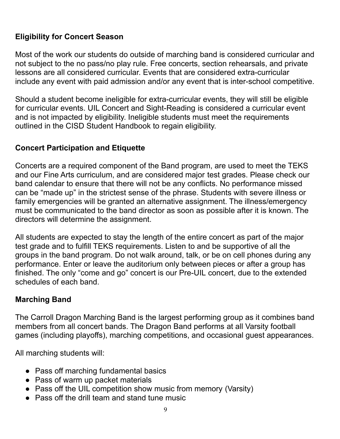# **Eligibility for Concert Season**

Most of the work our students do outside of marching band is considered curricular and not subject to the no pass/no play rule. Free concerts, section rehearsals, and private lessons are all considered curricular. Events that are considered extra-curricular include any event with paid admission and/or any event that is inter-school competitive.

Should a student become ineligible for extra-curricular events, they will still be eligible for curricular events. UIL Concert and Sight-Reading is considered a curricular event and is not impacted by eligibility. Ineligible students must meet the requirements outlined in the CISD Student Handbook to regain eligibility.

# **Concert Participation and Etiquette**

Concerts are a required component of the Band program, are used to meet the TEKS and our Fine Arts curriculum, and are considered major test grades. Please check our band calendar to ensure that there will not be any conflicts. No performance missed can be "made up" in the strictest sense of the phrase. Students with severe illness or family emergencies will be granted an alternative assignment. The illness/emergency must be communicated to the band director as soon as possible after it is known. The directors will determine the assignment.

All students are expected to stay the length of the entire concert as part of the major test grade and to fulfill TEKS requirements. Listen to and be supportive of all the groups in the band program. Do not walk around, talk, or be on cell phones during any performance. Enter or leave the auditorium only between pieces or after a group has finished. The only "come and go" concert is our Pre-UIL concert, due to the extended schedules of each band.

# **Marching Band**

The Carroll Dragon Marching Band is the largest performing group as it combines band members from all concert bands. The Dragon Band performs at all Varsity football games (including playoffs), marching competitions, and occasional guest appearances.

All marching students will:

- Pass off marching fundamental basics
- Pass of warm up packet materials
- Pass off the UIL competition show music from memory (Varsity)
- Pass off the drill team and stand tune music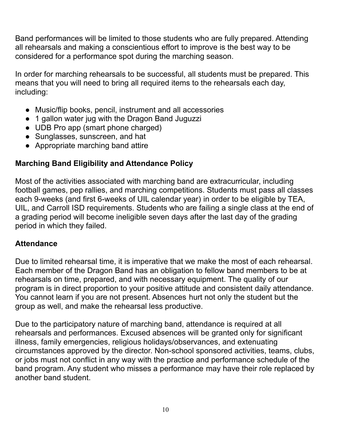Band performances will be limited to those students who are fully prepared. Attending all rehearsals and making a conscientious effort to improve is the best way to be considered for a performance spot during the marching season.

In order for marching rehearsals to be successful, all students must be prepared. This means that you will need to bring all required items to the rehearsals each day, including:

- Music/flip books, pencil, instrument and all accessories
- 1 gallon water jug with the Dragon Band Juguzzi
- UDB Pro app (smart phone charged)
- Sunglasses, sunscreen, and hat
- Appropriate marching band attire

# **Marching Band Eligibility and Attendance Policy**

Most of the activities associated with marching band are extracurricular, including football games, pep rallies, and marching competitions. Students must pass all classes each 9-weeks (and first 6-weeks of UIL calendar year) in order to be eligible by TEA, UIL, and Carroll ISD requirements. Students who are failing a single class at the end of a grading period will become ineligible seven days after the last day of the grading period in which they failed.

# **Attendance**

Due to limited rehearsal time, it is imperative that we make the most of each rehearsal. Each member of the Dragon Band has an obligation to fellow band members to be at rehearsals on time, prepared, and with necessary equipment. The quality of our program is in direct proportion to your positive attitude and consistent daily attendance. You cannot learn if you are not present. Absences hurt not only the student but the group as well, and make the rehearsal less productive.

Due to the participatory nature of marching band, attendance is required at all rehearsals and performances. Excused absences will be granted only for significant illness, family emergencies, religious holidays/observances, and extenuating circumstances approved by the director. Non-school sponsored activities, teams, clubs, or jobs must not conflict in any way with the practice and performance schedule of the band program. Any student who misses a performance may have their role replaced by another band student.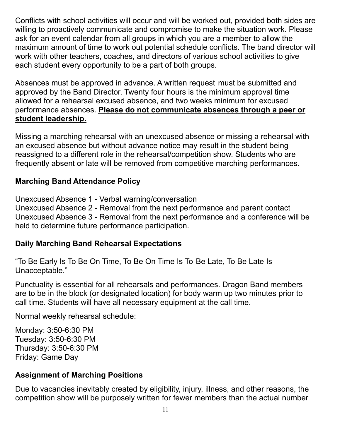Conflicts with school activities will occur and will be worked out, provided both sides are willing to proactively communicate and compromise to make the situation work. Please ask for an event calendar from all groups in which you are a member to allow the maximum amount of time to work out potential schedule conflicts. The band director will work with other teachers, coaches, and directors of various school activities to give each student every opportunity to be a part of both groups.

Absences must be approved in advance. A written request must be submitted and approved by the Band Director. Twenty four hours is the minimum approval time allowed for a rehearsal excused absence, and two weeks minimum for excused performance absences. **Please do not communicate absences through a peer or student leadership.**

Missing a marching rehearsal with an unexcused absence or missing a rehearsal with an excused absence but without advance notice may result in the student being reassigned to a different role in the rehearsal/competition show. Students who are frequently absent or late will be removed from competitive marching performances.

# **Marching Band Attendance Policy**

Unexcused Absence 1 - Verbal warning/conversation

Unexcused Absence 2 - Removal from the next performance and parent contact Unexcused Absence 3 - Removal from the next performance and a conference will be held to determine future performance participation.

# **Daily Marching Band Rehearsal Expectations**

"To Be Early Is To Be On Time, To Be On Time Is To Be Late, To Be Late Is Unacceptable."

Punctuality is essential for all rehearsals and performances. Dragon Band members are to be in the block (or designated location) for body warm up two minutes prior to call time. Students will have all necessary equipment at the call time.

Normal weekly rehearsal schedule:

Monday: 3:50-6:30 PM Tuesday: 3:50-6:30 PM Thursday: 3:50-6:30 PM Friday: Game Day

# **Assignment of Marching Positions**

Due to vacancies inevitably created by eligibility, injury, illness, and other reasons, the competition show will be purposely written for fewer members than the actual number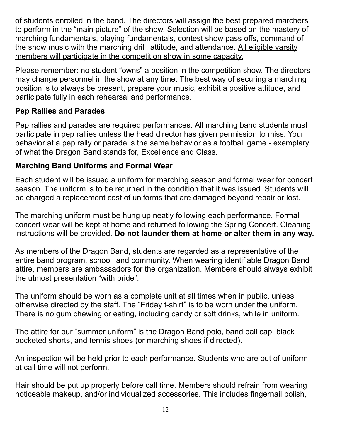of students enrolled in the band. The directors will assign the best prepared marchers to perform in the "main picture" of the show. Selection will be based on the mastery of marching fundamentals, playing fundamentals, contest show pass offs, command of the show music with the marching drill, attitude, and attendance. All eligible varsity members will participate in the competition show in some capacity.

Please remember: no student "owns" a position in the competition show. The directors may change personnel in the show at any time. The best way of securing a marching position is to always be present, prepare your music, exhibit a positive attitude, and participate fully in each rehearsal and performance.

#### **Pep Rallies and Parades**

Pep rallies and parades are required performances. All marching band students must participate in pep rallies unless the head director has given permission to miss. Your behavior at a pep rally or parade is the same behavior as a football game - exemplary of what the Dragon Band stands for, Excellence and Class.

#### **Marching Band Uniforms and Formal Wear**

Each student will be issued a uniform for marching season and formal wear for concert season. The uniform is to be returned in the condition that it was issued. Students will be charged a replacement cost of uniforms that are damaged beyond repair or lost.

The marching uniform must be hung up neatly following each performance. Formal concert wear will be kept at home and returned following the Spring Concert. Cleaning instructions will be provided. **Do not launder them at home or alter them in any way.**

As members of the Dragon Band, students are regarded as a representative of the entire band program, school, and community. When wearing identifiable Dragon Band attire, members are ambassadors for the organization. Members should always exhibit the utmost presentation "with pride".

The uniform should be worn as a complete unit at all times when in public, unless otherwise directed by the staff. The "Friday t-shirt" is to be worn under the uniform. There is no gum chewing or eating, including candy or soft drinks, while in uniform.

The attire for our "summer uniform" is the Dragon Band polo, band ball cap, black pocketed shorts, and tennis shoes (or marching shoes if directed).

An inspection will be held prior to each performance. Students who are out of uniform at call time will not perform.

Hair should be put up properly before call time. Members should refrain from wearing noticeable makeup, and/or individualized accessories. This includes fingernail polish,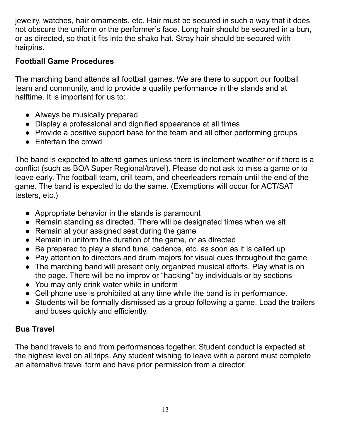jewelry, watches, hair ornaments, etc. Hair must be secured in such a way that it does not obscure the uniform or the performer's face. Long hair should be secured in a bun, or as directed, so that it fits into the shako hat. Stray hair should be secured with hairpins.

# **Football Game Procedures**

The marching band attends all football games. We are there to support our football team and community, and to provide a quality performance in the stands and at halftime. It is important for us to:

- Always be musically prepared
- Display a professional and dignified appearance at all times
- Provide a positive support base for the team and all other performing groups
- Entertain the crowd

The band is expected to attend games unless there is inclement weather or if there is a conflict (such as BOA Super Regional/travel). Please do not ask to miss a game or to leave early. The football team, drill team, and cheerleaders remain until the end of the game. The band is expected to do the same. (Exemptions will occur for ACT/SAT testers, etc.)

- Appropriate behavior in the stands is paramount
- Remain standing as directed. There will be designated times when we sit
- Remain at your assigned seat during the game
- Remain in uniform the duration of the game, or as directed
- Be prepared to play a stand tune, cadence, etc. as soon as it is called up
- Pay attention to directors and drum majors for visual cues throughout the game
- The marching band will present only organized musical efforts. Play what is on the page. There will be no improv or "hacking" by individuals or by sections
- You may only drink water while in uniform
- Cell phone use is prohibited at any time while the band is in performance.
- Students will be formally dismissed as a group following a game. Load the trailers and buses quickly and efficiently.

# **Bus Travel**

The band travels to and from performances together. Student conduct is expected at the highest level on all trips. Any student wishing to leave with a parent must complete an alternative travel form and have prior permission from a director.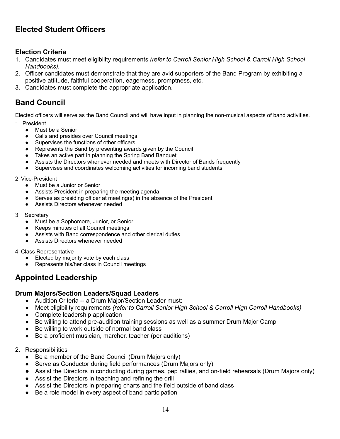# **Elected Student Officers**

#### **Election Criteria**

- 1. Candidates must meet eligibility requirements *(refer to Carroll Senior High School & Carroll High School Handbooks).*
- 2. Officer candidates must demonstrate that they are avid supporters of the Band Program by exhibiting a positive attitude, faithful cooperation, eagerness, promptness, etc.
- 3. Candidates must complete the appropriate application.

#### **Band Council**

Elected officers will serve as the Band Council and will have input in planning the non-musical aspects of band activities.

- 1. President
	- Must be a Senior
	- Calls and presides over Council meetings
	- Supervises the functions of other officers
	- Represents the Band by presenting awards given by the Council
	- Takes an active part in planning the Spring Band Banquet
	- Assists the Directors whenever needed and meets with Director of Bands frequently
	- Supervises and coordinates welcoming activities for incoming band students

#### 2. Vice-President

- Must be a Junior or Senior
- Assists President in preparing the meeting agenda
- Serves as presiding officer at meeting(s) in the absence of the President
- Assists Directors whenever needed
- 3. Secretary
	- Must be a Sophomore, Junior, or Senior
	- Keeps minutes of all Council meetings
	- Assists with Band correspondence and other clerical duties
	- Assists Directors whenever needed
- 4. Class Representative
	- Elected by majority vote by each class
	- Represents his/her class in Council meetings

# **Appointed Leadership**

#### **Drum Majors/Section Leaders/Squad Leaders**

- Audition Criteria -- a Drum Major/Section Leader must:
- Meet eligibility requirements *(refer to Carroll Senior High School & Carroll High Carroll Handbooks)*
- Complete leadership application
- Be willing to attend pre-audition training sessions as well as a summer Drum Major Camp
- Be willing to work outside of normal band class
- Be a proficient musician, marcher, teacher (per auditions)
- 2. Responsibilities
	- Be a member of the Band Council (Drum Majors only)
	- Serve as Conductor during field performances (Drum Majors only)
	- Assist the Directors in conducting during games, pep rallies, and on-field rehearsals (Drum Majors only)
	- Assist the Directors in teaching and refining the drill
	- Assist the Directors in preparing charts and the field outside of band class
	- Be a role model in every aspect of band participation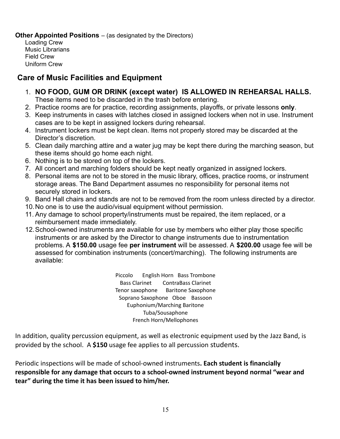#### **Other Appointed Positions** – (as designated by the Directors)

Loading Crew Music Librarians Field Crew Uniform Crew

# **Care of Music Facilities and Equipment**

- 1. **NO FOOD, GUM OR DRINK (except water) IS ALLOWED IN REHEARSAL HALLS.** These items need to be discarded in the trash before entering.
- 2. Practice rooms are for practice, recording assignments, playoffs, or private lessons **only**.
- 3. Keep instruments in cases with latches closed in assigned lockers when not in use. Instrument cases are to be kept in assigned lockers during rehearsal.
- 4. Instrument lockers must be kept clean. Items not properly stored may be discarded at the Director's discretion.
- 5. Clean daily marching attire and a water jug may be kept there during the marching season, but these items should go home each night.
- 6. Nothing is to be stored on top of the lockers.
- 7. All concert and marching folders should be kept neatly organized in assigned lockers.
- 8. Personal items are not to be stored in the music library, offices, practice rooms, or instrument storage areas. The Band Department assumes no responsibility for personal items not securely stored in lockers.
- 9. Band Hall chairs and stands are not to be removed from the room unless directed by a director.
- 10.No one is to use the audio/visual equipment without permission.
- 11. Any damage to school property/instruments must be repaired, the item replaced, or a reimbursement made immediately.
- 12.School-owned instruments are available for use by members who either play those specific instruments or are asked by the Director to change instruments due to instrumentation problems. A **\$150.00** usage fee **per instrument** will be assessed. A **\$200.00** usage fee will be assessed for combination instruments (concert/marching). The following instruments are available:

Piccolo English Horn Bass Trombone Bass Clarinet ContraBass Clarinet Tenor saxophone Baritone Saxophone Soprano Saxophone Oboe Bassoon Euphonium/Marching Baritone Tuba/Sousaphone French Horn/Mellophones

In addition, quality percussion equipment, as well as electronic equipment used by the Jazz Band, is provided by the school. A **\$150** usage fee applies to all percussion students.

Periodic inspections will be made of school-owned instruments**. Each student is financially responsible for any damage that occurs to a school-owned instrument beyond normal "wear and tear" during the time it has been issued to him/her.**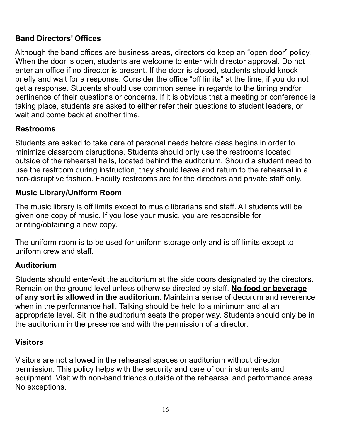# **Band Directors' Offices**

Although the band offices are business areas, directors do keep an "open door" policy. When the door is open, students are welcome to enter with director approval. Do not enter an office if no director is present. If the door is closed, students should knock briefly and wait for a response. Consider the office "off limits" at the time, if you do not get a response. Students should use common sense in regards to the timing and/or pertinence of their questions or concerns. If it is obvious that a meeting or conference is taking place, students are asked to either refer their questions to student leaders, or wait and come back at another time.

#### **Restrooms**

Students are asked to take care of personal needs before class begins in order to minimize classroom disruptions. Students should only use the restrooms located outside of the rehearsal halls, located behind the auditorium. Should a student need to use the restroom during instruction, they should leave and return to the rehearsal in a non-disruptive fashion. Faculty restrooms are for the directors and private staff only.

#### **Music Library/Uniform Room**

The music library is off limits except to music librarians and staff. All students will be given one copy of music. If you lose your music, you are responsible for printing/obtaining a new copy.

The uniform room is to be used for uniform storage only and is off limits except to uniform crew and staff.

#### **Auditorium**

Students should enter/exit the auditorium at the side doors designated by the directors. Remain on the ground level unless otherwise directed by staff. **No food or beverage of any sort is allowed in the auditorium**. Maintain a sense of decorum and reverence when in the performance hall. Talking should be held to a minimum and at an appropriate level. Sit in the auditorium seats the proper way. Students should only be in the auditorium in the presence and with the permission of a director.

# **Visitors**

Visitors are not allowed in the rehearsal spaces or auditorium without director permission. This policy helps with the security and care of our instruments and equipment. Visit with non-band friends outside of the rehearsal and performance areas. No exceptions.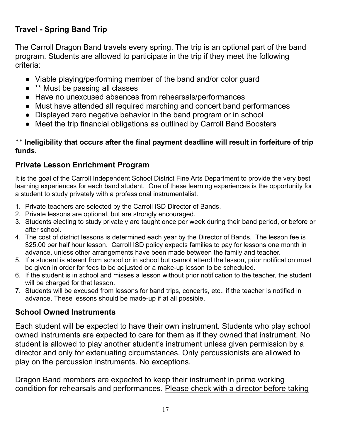# **Travel - Spring Band Trip**

The Carroll Dragon Band travels every spring. The trip is an optional part of the band program. Students are allowed to participate in the trip if they meet the following criteria:

- Viable playing/performing member of the band and/or color guard
- \*\* Must be passing all classes
- Have no unexcused absences from rehearsals/performances
- Must have attended all required marching and concert band performances
- Displayed zero negative behavior in the band program or in school
- Meet the trip financial obligations as outlined by Carroll Band Boosters

#### \*\* **Ineligibility that occurs after the final payment deadline will result in forfeiture of trip funds.**

# **Private Lesson Enrichment Program**

It is the goal of the Carroll Independent School District Fine Arts Department to provide the very best learning experiences for each band student. One of these learning experiences is the opportunity for a student to study privately with a professional instrumentalist.

- 1. Private teachers are selected by the Carroll ISD Director of Bands.
- 2. Private lessons are optional, but are strongly encouraged.
- 3. Students electing to study privately are taught once per week during their band period, or before or after school.
- 4. The cost of district lessons is determined each year by the Director of Bands. The lesson fee is \$25.00 per half hour lesson. Carroll ISD policy expects families to pay for lessons one month in advance, unless other arrangements have been made between the family and teacher.
- 5. If a student is absent from school or in school but cannot attend the lesson, prior notification must be given in order for fees to be adjusted or a make-up lesson to be scheduled.
- 6. If the student is in school and misses a lesson without prior notification to the teacher, the student will be charged for that lesson.
- 7. Students will be excused from lessons for band trips, concerts, etc., if the teacher is notified in advance. These lessons should be made-up if at all possible.

# **School Owned Instruments**

Each student will be expected to have their own instrument. Students who play school owned instruments are expected to care for them as if they owned that instrument. No student is allowed to play another student's instrument unless given permission by a director and only for extenuating circumstances. Only percussionists are allowed to play on the percussion instruments. No exceptions.

Dragon Band members are expected to keep their instrument in prime working condition for rehearsals and performances. Please check with a director before taking